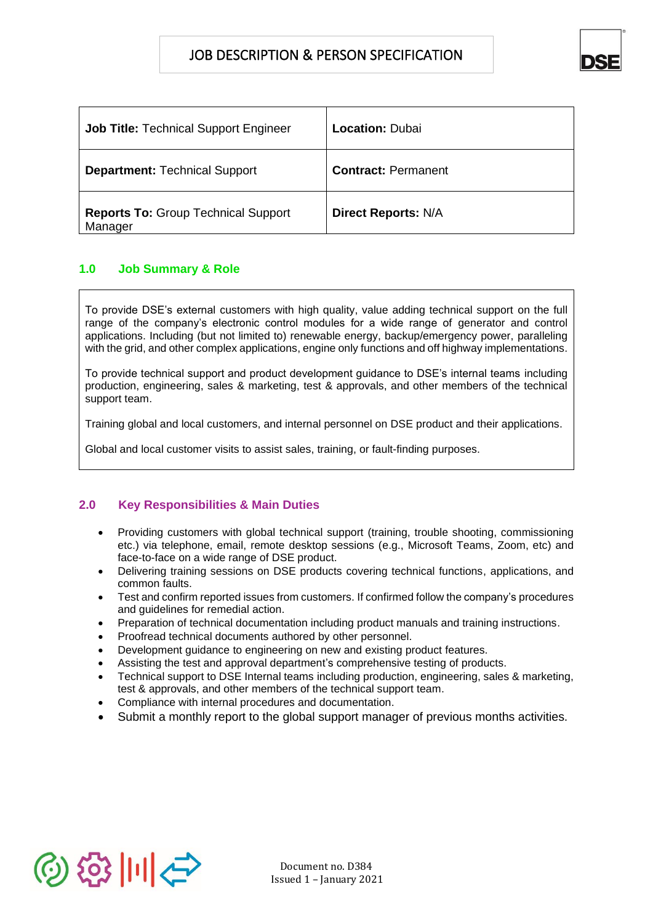

| <b>Job Title: Technical Support Engineer</b>          | Location: Dubai            |
|-------------------------------------------------------|----------------------------|
| <b>Department: Technical Support</b>                  | <b>Contract: Permanent</b> |
| <b>Reports To: Group Technical Support</b><br>Manager | <b>Direct Reports: N/A</b> |

# **1.0 Job Summary & Role**

To provide DSE's external customers with high quality, value adding technical support on the full range of the company's electronic control modules for a wide range of generator and control applications. Including (but not limited to) renewable energy, backup/emergency power, paralleling with the grid, and other complex applications, engine only functions and off highway implementations.

To provide technical support and product development guidance to DSE's internal teams including production, engineering, sales & marketing, test & approvals, and other members of the technical support team.

Training global and local customers, and internal personnel on DSE product and their applications.

Global and local customer visits to assist sales, training, or fault-finding purposes.

# **2.0 Key Responsibilities & Main Duties**

- Providing customers with global technical support (training, trouble shooting, commissioning etc.) via telephone, email, remote desktop sessions (e.g., Microsoft Teams, Zoom, etc) and face-to-face on a wide range of DSE product.
- Delivering training sessions on DSE products covering technical functions, applications, and common faults.
- Test and confirm reported issues from customers. If confirmed follow the company's procedures and guidelines for remedial action.
- Preparation of technical documentation including product manuals and training instructions.
- Proofread technical documents authored by other personnel.
- Development guidance to engineering on new and existing product features.
- Assisting the test and approval department's comprehensive testing of products.
- Technical support to DSE Internal teams including production, engineering, sales & marketing, test & approvals, and other members of the technical support team.
- Compliance with internal procedures and documentation.
- Submit a monthly report to the global support manager of previous months activities.

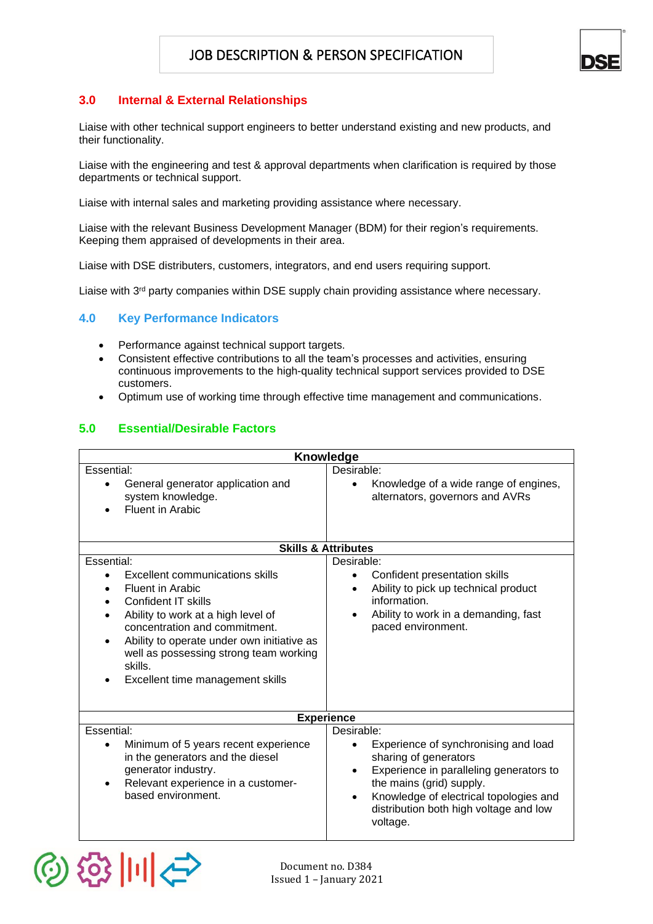

# **3.0 Internal & External Relationships**

Liaise with other technical support engineers to better understand existing and new products, and their functionality.

Liaise with the engineering and test & approval departments when clarification is required by those departments or technical support.

Liaise with internal sales and marketing providing assistance where necessary.

Liaise with the relevant Business Development Manager (BDM) for their region's requirements. Keeping them appraised of developments in their area.

Liaise with DSE distributers, customers, integrators, and end users requiring support.

Liaise with 3<sup>rd</sup> party companies within DSE supply chain providing assistance where necessary.

#### **4.0 Key Performance Indicators**

- Performance against technical support targets.
- Consistent effective contributions to all the team's processes and activities, ensuring continuous improvements to the high-quality technical support services provided to DSE customers.
- Optimum use of working time through effective time management and communications.

### **5.0 Essential/Desirable Factors**

| <b>Knowledge</b>                                                                                                                                                                                                                                                                                                                  |                                                                                                                                                                                                                                                                              |  |
|-----------------------------------------------------------------------------------------------------------------------------------------------------------------------------------------------------------------------------------------------------------------------------------------------------------------------------------|------------------------------------------------------------------------------------------------------------------------------------------------------------------------------------------------------------------------------------------------------------------------------|--|
| Essential:<br>General generator application and<br>system knowledge.<br><b>Fluent in Arabic</b>                                                                                                                                                                                                                                   | Desirable:<br>Knowledge of a wide range of engines,<br>$\bullet$<br>alternators, governors and AVRs                                                                                                                                                                          |  |
|                                                                                                                                                                                                                                                                                                                                   | <b>Skills &amp; Attributes</b>                                                                                                                                                                                                                                               |  |
| Essential:<br><b>Excellent communications skills</b><br><b>Fluent in Arabic</b><br>Confident IT skills<br>Ability to work at a high level of<br>concentration and commitment.<br>Ability to operate under own initiative as<br>$\bullet$<br>well as possessing strong team working<br>skills.<br>Excellent time management skills | Desirable:<br>Confident presentation skills<br>$\bullet$<br>Ability to pick up technical product<br>$\bullet$<br>information.<br>Ability to work in a demanding, fast<br>paced environment.                                                                                  |  |
| <b>Experience</b>                                                                                                                                                                                                                                                                                                                 |                                                                                                                                                                                                                                                                              |  |
| Essential:<br>Minimum of 5 years recent experience<br>in the generators and the diesel<br>generator industry.<br>Relevant experience in a customer-<br>$\bullet$<br>based environment.                                                                                                                                            | Desirable:<br>Experience of synchronising and load<br>sharing of generators<br>Experience in paralleling generators to<br>$\bullet$<br>the mains (grid) supply.<br>Knowledge of electrical topologies and<br>$\bullet$<br>distribution both high voltage and low<br>voltage. |  |